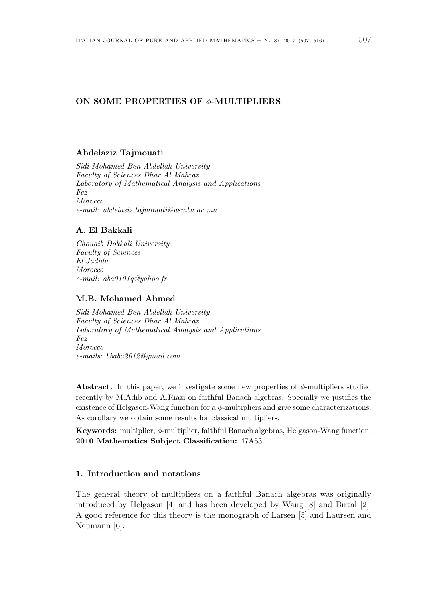### **ON SOME PROPERTIES OF** *ϕ***-MULTIPLIERS**

### **Abdelaziz Tajmouati**

*Sidi Mohamed Ben Abdellah University Faculty of Sciences Dhar Al Mahraz Laboratory of Mathematical Analysis and Applications Fez Morocco e-mail: abdelaziz.tajmouati@usmba.ac.ma*

# **A. El Bakkali**

*Chouaib Dokkali University Faculty of Sciences El Jadida Morocco e-mail: aba0101q@yahoo.fr*

#### **M.B. Mohamed Ahmed**

*Sidi Mohamed Ben Abdellah University Faculty of Sciences Dhar Al Mahraz Laboratory of Mathematical Analysis and Applications Fez Morocco e-mails: bbaba2012@gmail.com*

**Abstract.** In this paper, we investigate some new properties of *ϕ*-multipliers studied recently by M.Adib and A.Riazi on faithful Banach algebras. Specially we justifies the existence of Helgason-Wang function for a *ϕ*-multipliers and give some characterizations. As corollary we obtain some results for classical multipliers.

**Keywords:** multiplier, *ϕ*-multiplier, faithful Banach algebras, Helgason-Wang function. **2010 Mathematics Subject Classification:** 47A53.

## **1. Introduction and notations**

The general theory of multipliers on a faithful Banach algebras was originally introduced by Helgason [4] and has been developed by Wang [8] and Birtal [2]. A good reference for this theory is the monograph of Larsen [5] and Laursen and Neumann [6].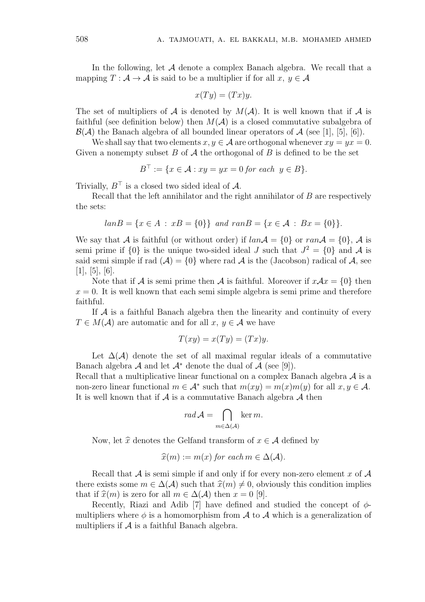In the following, let *A* denote a complex Banach algebra. We recall that a mapping  $T : \mathcal{A} \to \mathcal{A}$  is said to be a multiplier if for all  $x, y \in \mathcal{A}$ 

$$
x(Ty) = (Tx)y.
$$

The set of multipliers of  $A$  is denoted by  $M(A)$ . It is well known that if  $A$  is faithful (see definition below) then  $M(\mathcal{A})$  is a closed commutative subalgebra of  $\mathcal{B}(\mathcal{A})$  the Banach algebra of all bounded linear operators of  $\mathcal{A}$  (see [1], [5], [6]).

We shall say that two elements  $x, y \in A$  are orthogonal whenever  $xy = yx = 0$ . Given a nonempty subset *B* of *A* the orthogonal of *B* is defined to be the set

$$
B^{\top} := \{ x \in \mathcal{A} : xy = yx = 0 \text{ for each } y \in B \}.
$$

Trivially,  $B^{\top}$  is a closed two sided ideal of  $\mathcal{A}$ .

Recall that the left annihilator and the right annihilator of *B* are respectively the sets:

$$
lanB = \{x \in A : xB = \{0\}\}\
$$
 and  $ranB = \{x \in A : Bx = \{0\}\}.$ 

We say that *A* is faithful (or without order) if  $lanA = \{0\}$  or  $ranA = \{0\}$ , *A* is semi prime if  $\{0\}$  is the unique two-sided ideal *J* such that  $J^2 = \{0\}$  and *A* is said semi simple if rad  $(A) = \{0\}$  where rad A is the (Jacobson) radical of A, see  $[1], [5], [6].$ 

Note that if *A* is semi prime then *A* is faithful. Moreover if  $xAx = \{0\}$  then  $x = 0$ . It is well known that each semi simple algebra is semi prime and therefore faithful.

If *A* is a faithful Banach algebra then the linearity and continuity of every  $T \in M(\mathcal{A})$  are automatic and for all  $x, y \in \mathcal{A}$  we have

$$
T(xy) = x(Ty) = (Tx)y.
$$

Let  $\Delta(\mathcal{A})$  denote the set of all maximal regular ideals of a commutative Banach algebra  $\mathcal A$  and let  $\mathcal A^*$  denote the dual of  $\mathcal A$  (see [9]).

Recall that a multiplicative linear functional on a complex Banach algebra *A* is a non-zero linear functional  $m \in A^*$  such that  $m(xy) = m(x)m(y)$  for all  $x, y \in A$ . It is well known that if *A* is a commutative Banach algebra *A* then

$$
rad\,\mathcal{A}=\bigcap_{m\in\Delta(\mathcal{A})}\ker m.
$$

Now, let  $\hat{x}$  denotes the Gelfand transform of  $x \in A$  defined by

$$
\widehat{x}(m) := m(x) \text{ for each } m \in \Delta(\mathcal{A}).
$$

Recall that *A* is semi simple if and only if for every non-zero element *x* of *A* there exists some  $m \in \Delta(\mathcal{A})$  such that  $\hat{x}(m) \neq 0$ , obviously this condition implies that if  $\hat{x}(m)$  is zero for all  $m \in \Delta(\mathcal{A})$  then  $x = 0$  [9].

Recently, Riazi and Adib [7] have defined and studied the concept of *ϕ*multipliers where  $\phi$  is a homomorphism from  $\mathcal A$  to  $\mathcal A$  which is a generalization of multipliers if  $A$  is a faithful Banach algebra.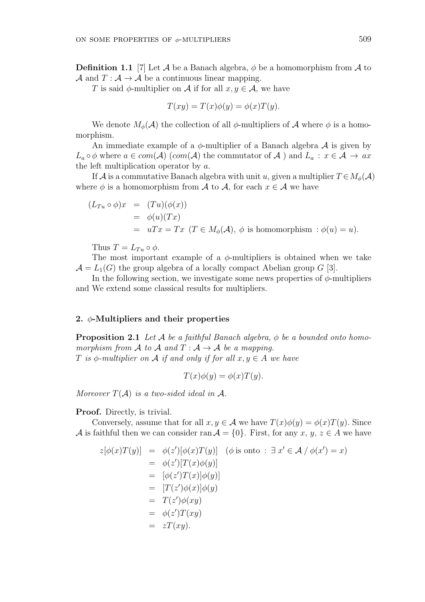**Definition 1.1** [7] Let  $\mathcal A$  be a Banach algebra,  $\phi$  be a homomorphism from  $\mathcal A$  to *A* and  $T: A \rightarrow A$  be a continuous linear mapping.

*T* is said  $\phi$ -multiplier on *A* if for all  $x, y \in A$ , we have

$$
T(xy) = T(x)\phi(y) = \phi(x)T(y).
$$

We denote  $M_{\phi}(\mathcal{A})$  the collection of all  $\phi$ -multipliers of  $\mathcal{A}$  where  $\phi$  is a homomorphism.

An immediate example of a  $\phi$ -multiplier of a Banach algebra  $\mathcal A$  is given by *L*<sup>*a*</sup>  $\circ$  *ϕ* where *a*  $\in$  *com*(*A*) (*com*(*A*) the commutator of *A*) and *L*<sup>*a*</sup> : *x*  $\in$  *A* → *ax* the left multiplication operator by *a*.

If *A* is a commutative Banach algebra with unit *u*, given a multiplier  $T \in M_\phi(\mathcal{A})$ where  $\phi$  is a homomorphism from *A* to *A*, for each  $x \in A$  we have

$$
(L_{Tu} \circ \phi)x = (Tu)(\phi(x))
$$
  
=  $\phi(u)(Tx)$   
=  $uTx = Tx \ (T \in M_{\phi}(\mathcal{A}), \ \phi \text{ is homomorphism} : \phi(u) = u).$ 

Thus  $T = L_{Tu} \circ \phi$ .

The most important example of a *ϕ*-multipliers is obtained when we take  $\mathcal{A} = L_1(G)$  the group algebra of a locally compact Abelian group *G* [3].

In the following section, we investigate some news properties of  $\phi$ -multipliers and We extend some classical results for multipliers.

#### **2.** *ϕ***-Multipliers and their properties**

**Proposition 2.1** *Let*  $\mathcal{A}$  *be a faithful Banach algebra,*  $\phi$  *be a bounded onto homomorphism from A to A and*  $T : A \rightarrow A$  *be a mapping. T is*  $\phi$ -multiplier on  $\mathcal A$  *if and only if for all*  $x, y \in \mathcal A$  *we have* 

$$
T(x)\phi(y) = \phi(x)T(y).
$$

*Moreover*  $T(A)$  *is a two-sided ideal in*  $A$ *.* 

**Proof.** Directly, is trivial.

Conversely, assume that for all  $x, y \in A$  we have  $T(x)\phi(y) = \phi(x)T(y)$ . Since *A* is faithful then we can consider ran  $A = \{0\}$ . First, for any *x*, *y*, *z*  $\in$  *A* we have

$$
z[\phi(x)T(y)] = \phi(z')[\phi(x)T(y)] \quad (\phi \text{ is onto}: \exists x' \in \mathcal{A} \mid \phi(x') = x)
$$
  
\n
$$
= \phi(z')[T(x)\phi(y)]
$$
  
\n
$$
= [\phi(z')T(x)]\phi(y)]
$$
  
\n
$$
= [T(z')\phi(x)]\phi(y)
$$
  
\n
$$
= T(z')\phi(xy)
$$
  
\n
$$
= \phi(z')T(xy)
$$
  
\n
$$
= zT(xy).
$$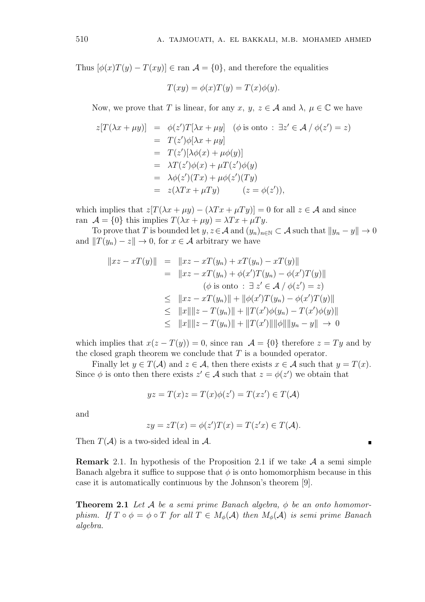Thus  $[\phi(x)T(y) - T(xy)] \in \text{ran } A = \{0\}$ , and therefore the equalities

$$
T(xy) = \phi(x)T(y) = T(x)\phi(y).
$$

Now, we prove that *T* is linear, for any *x*,  $y, z \in A$  and  $\lambda, \mu \in \mathbb{C}$  we have

$$
z[T(\lambda x + \mu y)] = \phi(z')T[\lambda x + \mu y] \quad (\phi \text{ is onto}: \exists z' \in \mathcal{A} \mid \phi(z') = z)
$$
  
=  $T(z')\phi[\lambda x + \mu y]$   
=  $T(z')[\lambda \phi(x) + \mu \phi(y)]$   
=  $\lambda T(z')\phi(x) + \mu T(z')\phi(y)$   
=  $\lambda \phi(z')(Tx) + \mu \phi(z')(Ty)$   
=  $z(\lambda Tx + \mu Ty) \qquad (z = \phi(z')),$ 

which implies that  $z[T(\lambda x + \mu y) - (\lambda Tx + \mu Ty)] = 0$  for all  $z \in \mathcal{A}$  and since ran  $\mathcal{A} = \{0\}$  this implies  $T(\lambda x + \mu y) = \lambda Tx + \mu Ty$ .

To prove that *T* is bounded let  $y, z \in A$  and  $(y_n)_{n \in \mathbb{N}} \subset A$  such that  $||y_n - y|| \to 0$ and  $||T(y_n) - z|| \to 0$ , for  $x \in \mathcal{A}$  arbitrary we have

$$
||xz - xT(y)|| = ||xz - xT(y_n) + xT(y_n) - xT(y)||
$$
  
\n
$$
= ||xz - xT(y_n) + \phi(x')T(y_n) - \phi(x')T(y)||
$$
  
\n
$$
(\phi \text{ is onto}: \exists z' \in A / \phi(z') = z)
$$
  
\n
$$
\leq ||xz - xT(y_n)|| + ||\phi(x')T(y_n) - \phi(x')T(y)||
$$
  
\n
$$
\leq ||x|| ||z - T(y_n)|| + ||T(x')\phi(y_n) - T(x')\phi(y)||
$$
  
\n
$$
\leq ||x|| ||z - T(y_n)|| + ||T(x')|| ||\phi|| ||y_n - y|| \to 0
$$

which implies that  $x(z - T(y)) = 0$ , since ran  $\mathcal{A} = \{0\}$  therefore  $z = Ty$  and by the closed graph theorem we conclude that *T* is a bounded operator.

Finally let  $y \in T(A)$  and  $z \in A$ , then there exists  $x \in A$  such that  $y = T(x)$ . Since  $\phi$  is onto then there exists  $z' \in \mathcal{A}$  such that  $z = \phi(z')$  we obtain that

$$
yz = T(x)z = T(x)\phi(z') = T(xz') \in T(\mathcal{A})
$$

and

$$
zy = zT(x) = \phi(z')T(x) = T(z'x) \in T(\mathcal{A}).
$$

 $\blacksquare$ 

Then  $T(A)$  is a two-sided ideal in  $A$ .

**Remark** 2*.*1*.* In hypothesis of the Proposition 2.1 if we take *A* a semi simple Banach algebra it suffice to suppose that  $\phi$  is onto homomorphism because in this case it is automatically continuous by the Johnson's theorem [9].

**Theorem 2.1** *Let A be a semi prime Banach algebra, ϕ be an onto homomorphism.* If  $T \circ \phi = \phi \circ T$  *for all*  $T \in M_{\phi}(\mathcal{A})$  *then*  $M_{\phi}(\mathcal{A})$  *is semi prime Banach algebra.*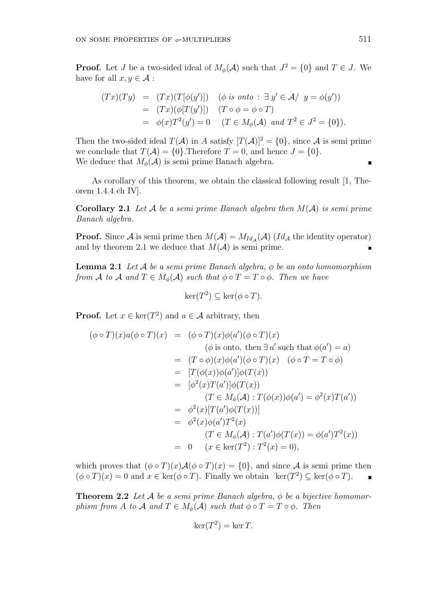**Proof.** Let *J* be a two-sided ideal of  $M_{\phi}(\mathcal{A})$  such that  $J^2 = \{0\}$  and  $T \in J$ . We have for all  $x, y \in \mathcal{A}$ :

$$
(Tx)(Ty) = (Tx)(T[\phi(y')]) \quad (\phi \text{ is onto}: \exists y' \in \mathcal{A} / y = \phi(y'))
$$
  
= 
$$
(Tx)(\phi[T(y')]) \quad (T \circ \phi = \phi \circ T)
$$
  
= 
$$
\phi(x)T^2(y') = 0 \quad (T \in M_{\phi}(\mathcal{A}) \text{ and } T^2 \in J^2 = \{0\}).
$$

Then the two-sided ideal  $T(A)$  in *A* satisfy  $[T(A)]^2 = \{0\}$ , since *A* is semi prime we conclude that  $T(A) = \{0\}$ . Therefore  $T = 0$ , and hence  $J = \{0\}$ . We deduce that  $M_{\phi}(\mathcal{A})$  is semi prime Banach algebra.

As corollary of this theorem, we obtain the classical following result [1, Theorem 1.4.4 ch IV].

**Corollary 2.1** *Let A be a semi prime Banach algebra then M*(*A*) *is semi prime Banach algebra.*

**Proof.** Since *A* is semi prime then  $M(A) = M_{Id_A}(A)$  ( $Id_A$  the identity operator) and by theorem 2.1 we deduce that  $M(A)$  is semi prime.

**Lemma 2.1** *Let A be a semi prime Banach algebra, ϕ be an onto homomorphism from A to A and*  $T \in M_\phi(\mathcal{A})$  *such that*  $\phi \circ T = T \circ \phi$ *. Then we have* 

$$
\ker(T^2) \subseteq \ker(\phi \circ T).
$$

**Proof.** Let  $x \in \text{ker}(T^2)$  and  $a \in \mathcal{A}$  arbitrary, then

$$
(\phi \circ T)(x)a(\phi \circ T)(x) = (\phi \circ T)(x)\phi(a')(\phi \circ T)(x)
$$
  
\n
$$
(\phi \text{ is onto, then } \exists a' \text{ such that } \phi(a') = a)
$$
  
\n
$$
= (T \circ \phi)(x)\phi(a')(\phi \circ T)(x) \quad (\phi \circ T = T \circ \phi)
$$
  
\n
$$
= [T(\phi(x))\phi(a')] \phi(T(x))
$$
  
\n
$$
= [\phi^2(x)T(a')] \phi(T(x))
$$
  
\n
$$
(T \in M_{\phi}(\mathcal{A}) : T(\phi(x))\phi(a') = \phi^2(x)T(a'))
$$
  
\n
$$
= \phi^2(x)[T(a')\phi(T(x))]
$$
  
\n
$$
= \phi^2(x)\phi(a')T^2(x)
$$
  
\n
$$
(T \in M_{\phi}(\mathcal{A}) : T(a')\phi(T(x)) = \phi(a')T^2(x))
$$
  
\n
$$
= 0 \quad (x \in \ker(T^2) : T^2(x) = 0),
$$

which proves that  $(\phi \circ T)(x) \mathcal{A}(\phi \circ T)(x) = \{0\}$ , and since A is semi prime then  $(\phi \circ T)(x) = 0$  and  $x \in \text{ker}(\phi \circ T)$ . Finally we obtain  $\text{ker}(T^2) \subseteq \text{ker}(\phi \circ T)$ .

**Theorem 2.2** *Let*  $A$  *be a semi prime Banach algebra,*  $\phi$  *be a bijective homomorphism from A to A and*  $T \in M_{\phi}(\mathcal{A})$  *such that*  $\phi \circ T = T \circ \phi$ *. Then* 

$$
\ker(T^2) = \ker T.
$$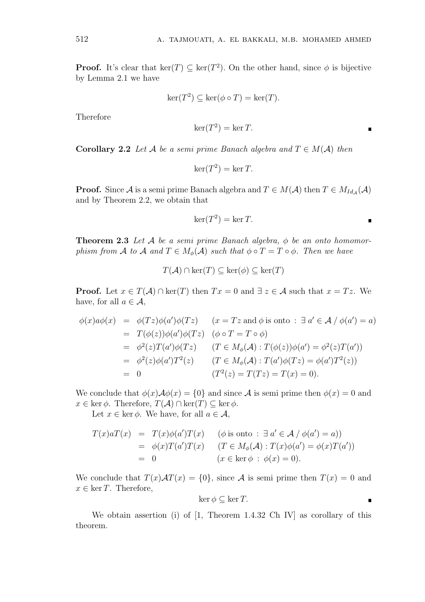**Proof.** It's clear that ker(*T*)  $\subseteq$  ker(*T*<sup>2</sup>). On the other hand, since  $\phi$  is bijective by Lemma 2.1 we have

$$
\ker(T^2) \subseteq \ker(\phi \circ T) = \ker(T).
$$

Therefore

$$
\ker(T^2) = \ker T.
$$

**Corollary 2.2** *Let A be a semi prime Banach algebra and*  $T \in M(\mathcal{A})$  *then* 

$$
\ker(T^2) = \ker T.
$$

**Proof.** Since *A* is a semi prime Banach algebra and  $T \in M(\mathcal{A})$  then  $T \in M_{Id_{\mathcal{A}}}(\mathcal{A})$ and by Theorem 2.2, we obtain that

$$
\ker(T^2) = \ker T.
$$

 $\blacksquare$ 

**Theorem 2.3** *Let A be a semi prime Banach algebra, ϕ be an onto homomorphism from A to A and*  $T \in M_\phi(\mathcal{A})$  *such that*  $\phi \circ T = T \circ \phi$ *. Then we have* 

$$
T(\mathcal{A}) \cap \ker(T) \subseteq \ker(\phi) \subseteq \ker(T)
$$

**Proof.** Let  $x \in T(A) \cap \text{ker}(T)$  then  $Tx = 0$  and  $\exists z \in A$  such that  $x = Tx$ . We have, for all  $a \in \mathcal{A}$ ,

$$
\begin{array}{rcl}\n\phi(x)a\phi(x) & = & \phi(Tz)\phi(a')\phi(Tz) & (x = Tz \text{ and } \phi \text{ is onto } : \exists a' \in \mathcal{A} \mid \phi(a') = a) \\
& = & T(\phi(z))\phi(a')\phi(Tz) & (\phi \circ T = T \circ \phi) \\
& = & \phi^2(z)T(a')\phi(Tz) & (T \in M_\phi(\mathcal{A}) : T(\phi(z))\phi(a') = \phi^2(z)T(a')) \\
& = & \phi^2(z)\phi(a')T^2(z) & (T \in M_\phi(\mathcal{A}) : T(a')\phi(Tz) = \phi(a')T^2(z)) \\
& = & 0 & (T^2(z) = T(Tz) = T(x) = 0).\n\end{array}
$$

We conclude that  $\phi(x) \mathcal{A} \phi(x) = \{0\}$  and since  $\mathcal A$  is semi prime then  $\phi(x) = 0$  and  $x \in \text{ker } \phi$ . Therefore,  $T(A) \cap \text{ker}(T) \subseteq \text{ker } \phi$ .

Let  $x \in \text{ker } \phi$ . We have, for all  $a \in \mathcal{A}$ ,

$$
T(x)aT(x) = T(x)\phi(a')T(x) \quad (\phi \text{ is onto}: \exists a' \in \mathcal{A} / \phi(a') = a))
$$
  
=  $\phi(x)T(a')T(x) \quad (T \in M_{\phi}(\mathcal{A}): T(x)\phi(a') = \phi(x)T(a'))$   
= 0 \quad (x \in \text{ker }\phi: \phi(x) = 0).

We conclude that  $T(x)AT(x) = \{0\}$ , since A is semi prime then  $T(x) = 0$  and  $x \in \ker T$ . Therefore,

$$
\ker \phi \subseteq \ker T.
$$

We obtain assertion (i) of [1, Theorem 1.4.32 Ch IV] as corollary of this theorem.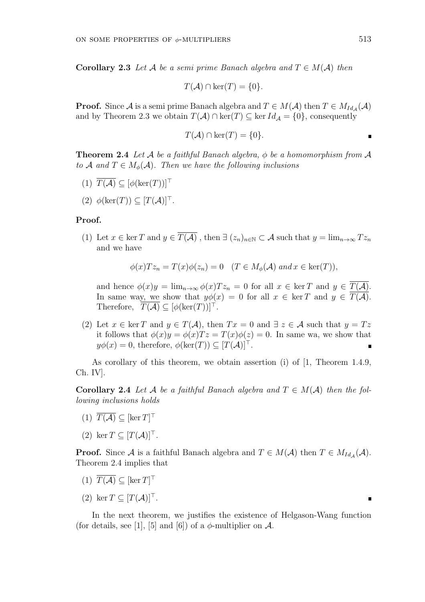**Corollary 2.3** *Let*  $\mathcal{A}$  *be a semi prime Banach algebra and*  $T \in M(\mathcal{A})$  *then* 

$$
T(\mathcal{A}) \cap \ker(T) = \{0\}.
$$

**Proof.** Since *A* is a semi prime Banach algebra and  $T \in M(\mathcal{A})$  then  $T \in M_{Id_{\mathcal{A}}}(\mathcal{A})$ and by Theorem 2.3 we obtain  $T(A) \cap \text{ker}(T) \subseteq \text{ker } Id_A = \{0\}$ , consequently

$$
T(\mathcal{A}) \cap \ker(T) = \{0\}.
$$

**Theorem 2.4** *Let*  $A$  *be a faithful Banach algebra,*  $\phi$  *be a homomorphism from*  $A$ *to A* and  $T \in M_\phi(\mathcal{A})$ . Then we have the following inclusions

- $(T) \ \overline{T(A)} \subseteq [\phi(\ker(T))]^{\top}$
- $(2)$   $\phi(\ker(T)) \subseteq [T(\mathcal{A})]^{\top}$ .

#### **Proof.**

(1) Let  $x \in \ker T$  and  $y \in \overline{T(A)}$ , then  $\exists (z_n)_{n \in \mathbb{N}} \subset A$  such that  $y = \lim_{n \to \infty} Tz_n$ and we have

$$
\phi(x)Tz_n = T(x)\phi(z_n) = 0 \quad (T \in M_\phi(\mathcal{A}) \text{ and } x \in \text{ker}(T)),
$$

and hence  $\phi(x)y = \lim_{n \to \infty} \phi(x)Tz_n = 0$  for all  $x \in \text{ker } T$  and  $y \in \overline{T(A)}$ . In same way, we show that  $y\phi(x) = 0$  for all  $x \in \text{ker } T$  and  $y \in \overline{T(A)}$ . Therefore,  $T(A) \subseteq [\phi(\ker(T))]^{\top}$ .

(2) Let  $x \in \text{ker } T$  and  $y \in T(\mathcal{A})$ , then  $Tx = 0$  and  $\exists z \in \mathcal{A}$  such that  $y = Tz$ it follows that  $\phi(x)y = \phi(x)Tz = T(x)\phi(z) = 0$ . In same wa, we show that  $y\phi(x) = 0$ , therefore,  $\phi(\ker(T)) \subseteq [T(\mathcal{A})]^{\top}$ .

As corollary of this theorem, we obtain assertion (i) of [1, Theorem 1.4.9, Ch. IV].

**Corollary 2.4** *Let A be a faithful Banach algebra and*  $T \in M(A)$  *then the following inclusions holds*

- $(T(T)$  *T*(*A*) ⊆ [ker *T*]<sup> $⊤$ </sup>
- $(2)$  ker  $T$  ⊂  $[T(A)]^{\top}$ .

**Proof.** Since *A* is a faithful Banach algebra and  $T \in M(\mathcal{A})$  then  $T \in M_{Id_{\mathcal{A}}}(\mathcal{A})$ . Theorem 2.4 implies that

- $(T(T)$  *T*(*A*) ⊆ [ker *T*]<sup> $⊤$ </sup>
- $(2)$  ker  $T \subseteq [T(\mathcal{A})]^{\top}$ .

In the next theorem, we justifies the existence of Helgason-Wang function (for details, see [1], [5] and [6]) of a  $\phi$ -multiplier on  $\mathcal{A}$ .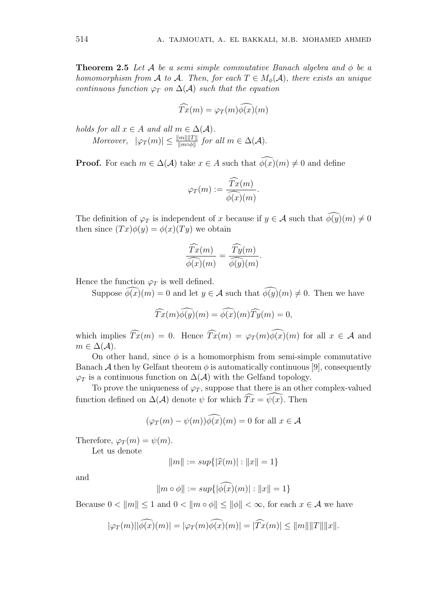**Theorem 2.5** *Let A be a semi simple commutative Banach algebra and ϕ be a homomorphism from A to A. Then, for each*  $T \in M_{\phi}(\mathcal{A})$ *, there exists an unique continuous function*  $\varphi_T$  *on*  $\Delta(\mathcal{A})$  *such that the equation* 

$$
\widehat{Tx}(m) = \varphi_T(m)\widehat{\phi(x)}(m)
$$

*holds for all*  $x \in A$  *and all*  $m \in \Delta(A)$ *.* 

*Moreover,*  $|\varphi_T(m)| \leq \frac{||m|| ||T||}{||m \circ \phi||}$  *for all*  $m \in \Delta(\mathcal{A})$ *.* 

**Proof.** For each  $m \in \Delta(\mathcal{A})$  take  $x \in A$  such that  $\widehat{\phi(x)}(m) \neq 0$  and define

$$
\varphi_T(m) := \frac{\widehat{Tx}(m)}{\widehat{\phi(x)}(m)}.
$$

The definition of  $\varphi_T$  is independent of *x* because if  $y \in \mathcal{A}$  such that  $\widehat{\phi(y)}(m) \neq 0$ then since  $(Tx)\phi(y) = \phi(x)(Ty)$  we obtain

$$
\frac{\widehat{Tx}(m)}{\widehat{\phi(x)}(m)} = \frac{\widehat{Ty}(m)}{\widehat{\phi(y)}(m)}.
$$

Hence the function  $\varphi_T$  is well defined.

Suppose  $\widehat{\phi}(x)(m) = 0$  and let  $y \in \mathcal{A}$  such that  $\widehat{\phi(y)}(m) \neq 0$ . Then we have

$$
\widehat{Tx}(m)\widehat{\phi(y)}(m) = \widehat{\phi(x)}(m)\widehat{Ty}(m) = 0,
$$

which implies  $\widehat{T}x(m) = 0$ . Hence  $\widehat{T}x(m) = \varphi_T(m)\widehat{\phi(x)}(m)$  for all  $x \in A$  and  $m \in \Delta(\mathcal{A})$ .

On other hand, since  $\phi$  is a homomorphism from semi-simple commutative Banach  $\mathcal A$  then by Gelfant theorem  $\phi$  is automatically continuous [9], consequently  $\varphi_T$  is a continuous function on  $\Delta(\mathcal{A})$  with the Gelfand topology.

To prove the uniqueness of  $\varphi_T$ , suppose that there is an other complex-valued function defined on  $\Delta(\mathcal{A})$  denote  $\psi$  for which  $\widehat{T}x = \widehat{\psi}(x)$ . Then

$$
(\varphi_T(m) - \psi(m))\tilde{\phi}(x)(m) = 0 \text{ for all } x \in \mathcal{A}
$$

Therefore,  $\varphi_T(m) = \psi(m)$ .

Let us denote

$$
||m|| := sup\{|\widehat{x}(m)| : ||x|| = 1\}
$$

and

$$
||m \circ \phi|| := sup{|\phi(x)(m)| : ||x|| = 1}
$$

Because  $0 < ||m|| \le 1$  and  $0 < ||m \circ \phi|| \le ||\phi|| < \infty$ , for each  $x \in \mathcal{A}$  we have

$$
|\varphi_T(m)||\widehat{\phi(x)}(m)| = |\varphi_T(m)\widehat{\phi(x)}(m)| = |\widehat{T}x(m)| \le ||m|| ||T|| ||x||.
$$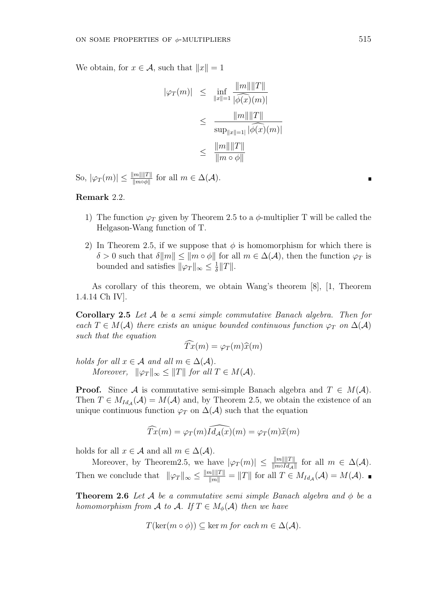We obtain, for  $x \in \mathcal{A}$ , such that  $||x|| = 1$ 

$$
|\varphi_T(m)| \leq \inf_{\|x\|=1} \frac{\|m\| \|T\|}{|\widehat{\phi(x)}(m)|} \\ \leq \frac{\|m\| \|T\|}{\sup_{\|x\|=1} |\widehat{\phi(x)}(m)|} \\ \leq \frac{\|m\| \|T\|}{\|m \circ \phi\|}
$$

 $|\mathcal{P}_T(m)| \leq \frac{\|m\| \|T\|}{\|m \circ \phi\|}$  for all  $m \in \Delta(\mathcal{A})$ .

# **Remark** 2*.*2*.*

- 1) The function  $\varphi_T$  given by Theorem 2.5 to a  $\phi$ -multiplier T will be called the Helgason-Wang function of T.
- 2) In Theorem 2.5, if we suppose that  $\phi$  is homomorphism for which there is  $\delta > 0$  such that  $\delta ||m|| \le ||m \circ \phi||$  for all  $m \in \Delta(\mathcal{A})$ , then the function  $\varphi_T$  is bounded and satisfies  $\|\varphi_T\|_{\infty} \leq \frac{1}{\delta}$ *δ ∥T∥.*

As corollary of this theorem, we obtain Wang's theorem [8], [1, Theorem 1.4.14 Ch IV].

**Corollary 2.5** *Let A be a semi simple commutative Banach algebra. Then for each*  $T \in M(\mathcal{A})$  *there exists an unique bounded continuous function*  $\varphi_T$  *on*  $\Delta(\mathcal{A})$ *such that the equation*

$$
\widehat{Tx}(m) = \varphi_T(m)\widehat{x}(m)
$$

*holds for all*  $x \in A$  *and all*  $m \in \Delta(A)$ *. Moreover,*  $\|\varphi_T\|_{\infty} \leq \|T\|$  *for all*  $T \in M(\mathcal{A})$ *.* 

**Proof.** Since *A* is commutative semi-simple Banach algebra and  $T \in M(\mathcal{A})$ . Then  $T \in M_{Id_{\mathcal{A}}}(\mathcal{A}) = M(\mathcal{A})$  and, by Theorem 2.5, we obtain the existence of an unique continuous function  $\varphi_T$  on  $\Delta(\mathcal{A})$  such that the equation

$$
\widehat{T}x(m) = \varphi_T(m)\widehat{Id}_{\mathcal{A}}(\widehat{x})(m) = \varphi_T(m)\widehat{x}(m)
$$

holds for all  $x \in A$  and all  $m \in \Delta(A)$ .

Moreover, by Theorem2.5, we have  $|\varphi_T(m)| \leq \frac{||m|| ||T||}{||m \circ Id_{\mathcal{A}}||}$  for all  $m \in \Delta(\mathcal{A})$ . Then we conclude that  $\|\varphi_T\|_{\infty} \le \frac{\|m\| \|T\|}{\|m\|} = \|T\|$  for all  $T \in M_{Id_{\mathcal{A}}}(\mathcal{A}) = M(\mathcal{A})$ .

**Theorem 2.6** *Let*  $A$  *be a commutative semi simple Banach algebra and*  $\phi$  *be a homomorphism from A to A.* If  $T \in M_{\phi}(\mathcal{A})$  *then we have* 

$$
T(\ker(m \circ \phi)) \subseteq \ker m \text{ for each } m \in \Delta(\mathcal{A}).
$$